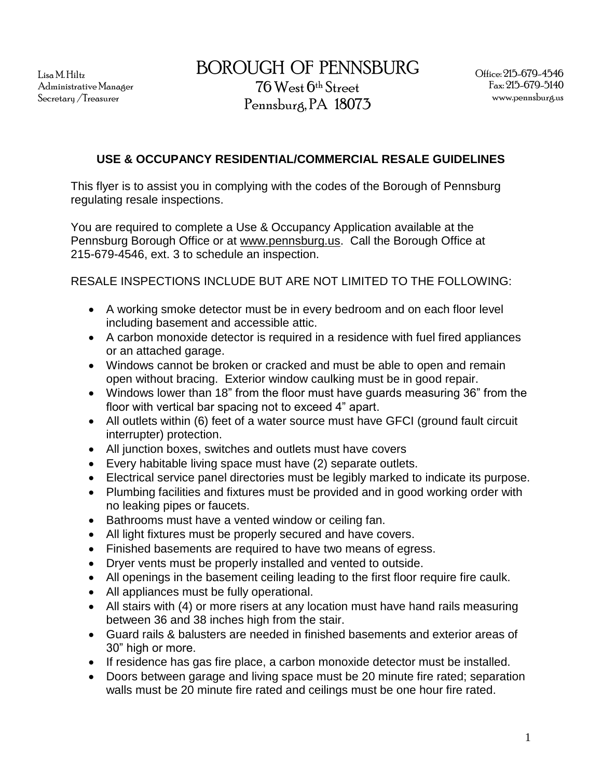Lisa M. Hiltz Administrative Manager Secretary /Treasurer

BOROUGH OF PENNSBURG 76 West 6th Street

## **USE & OCCUPANCY RESIDENTIAL/COMMERCIAL RESALE GUIDELINES**

This flyer is to assist you in complying with the codes of the Borough of Pennsburg regulating resale inspections.

You are required to complete a Use & Occupancy Application available at the Pennsburg Borough Office or at [www.pennsburg.us.](http://www.pennsburg.us/) Call the Borough Office at 215-679-4546, ext. 3 to schedule an inspection.

RESALE INSPECTIONS INCLUDE BUT ARE NOT LIMITED TO THE FOLLOWING:

- A working smoke detector must be in every bedroom and on each floor level including basement and accessible attic.
- A carbon monoxide detector is required in a residence with fuel fired appliances or an attached garage.
- Windows cannot be broken or cracked and must be able to open and remain open without bracing. Exterior window caulking must be in good repair.
- Windows lower than 18" from the floor must have guards measuring 36" from the floor with vertical bar spacing not to exceed 4" apart.
- All outlets within (6) feet of a water source must have GFCI (ground fault circuit interrupter) protection.
- All junction boxes, switches and outlets must have covers
- Every habitable living space must have (2) separate outlets.
- Electrical service panel directories must be legibly marked to indicate its purpose.
- Plumbing facilities and fixtures must be provided and in good working order with no leaking pipes or faucets.
- Bathrooms must have a vented window or ceiling fan.
- All light fixtures must be properly secured and have covers.
- Finished basements are required to have two means of egress.
- Dryer vents must be properly installed and vented to outside.
- All openings in the basement ceiling leading to the first floor require fire caulk.
- All appliances must be fully operational.
- All stairs with (4) or more risers at any location must have hand rails measuring between 36 and 38 inches high from the stair.
- Guard rails & balusters are needed in finished basements and exterior areas of 30" high or more.
- If residence has gas fire place, a carbon monoxide detector must be installed.
- Doors between garage and living space must be 20 minute fire rated; separation walls must be 20 minute fire rated and ceilings must be one hour fire rated.